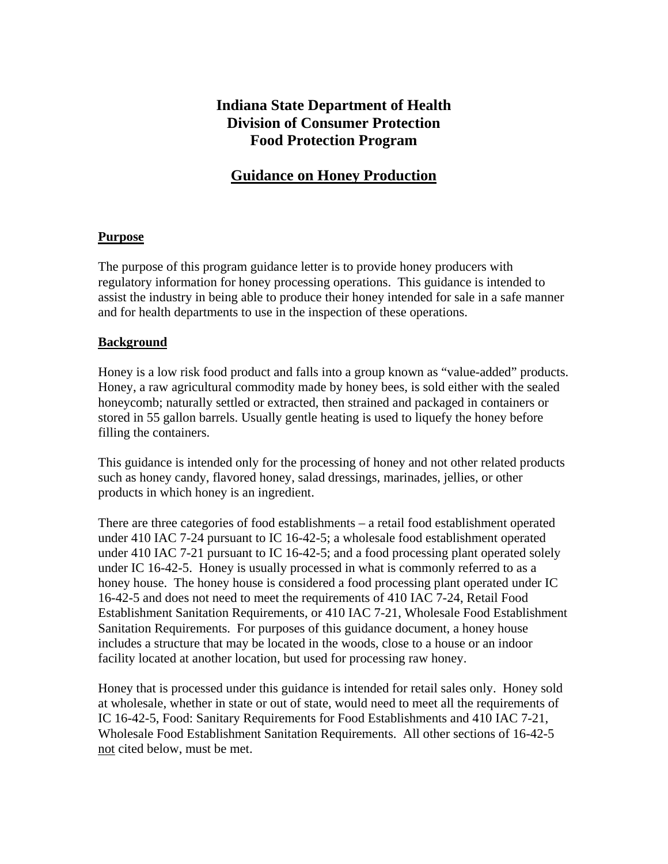# **Indiana State Department of Health Division of Consumer Protection Food Protection Program**

# **Guidance on Honey Production**

## **Purpose**

The purpose of this program guidance letter is to provide honey producers with regulatory information for honey processing operations. This guidance is intended to assist the industry in being able to produce their honey intended for sale in a safe manner and for health departments to use in the inspection of these operations.

## **Background**

Honey is a low risk food product and falls into a group known as "value-added" products. Honey, a raw agricultural commodity made by honey bees, is sold either with the sealed honeycomb; naturally settled or extracted, then strained and packaged in containers or stored in 55 gallon barrels. Usually gentle heating is used to liquefy the honey before filling the containers.

This guidance is intended only for the processing of honey and not other related products such as honey candy, flavored honey, salad dressings, marinades, jellies, or other products in which honey is an ingredient.

There are three categories of food establishments – a retail food establishment operated under 410 IAC 7-24 pursuant to IC 16-42-5; a wholesale food establishment operated under 410 IAC 7-21 pursuant to IC 16-42-5; and a food processing plant operated solely under IC 16-42-5. Honey is usually processed in what is commonly referred to as a honey house. The honey house is considered a food processing plant operated under IC 16-42-5 and does not need to meet the requirements of 410 IAC 7-24, Retail Food Establishment Sanitation Requirements, or 410 IAC 7-21, Wholesale Food Establishment Sanitation Requirements. For purposes of this guidance document, a honey house includes a structure that may be located in the woods, close to a house or an indoor facility located at another location, but used for processing raw honey.

Honey that is processed under this guidance is intended for retail sales only. Honey sold at wholesale, whether in state or out of state, would need to meet all the requirements of IC 16-42-5, Food: Sanitary Requirements for Food Establishments and 410 IAC 7-21, Wholesale Food Establishment Sanitation Requirements. All other sections of 16-42-5 not cited below, must be met.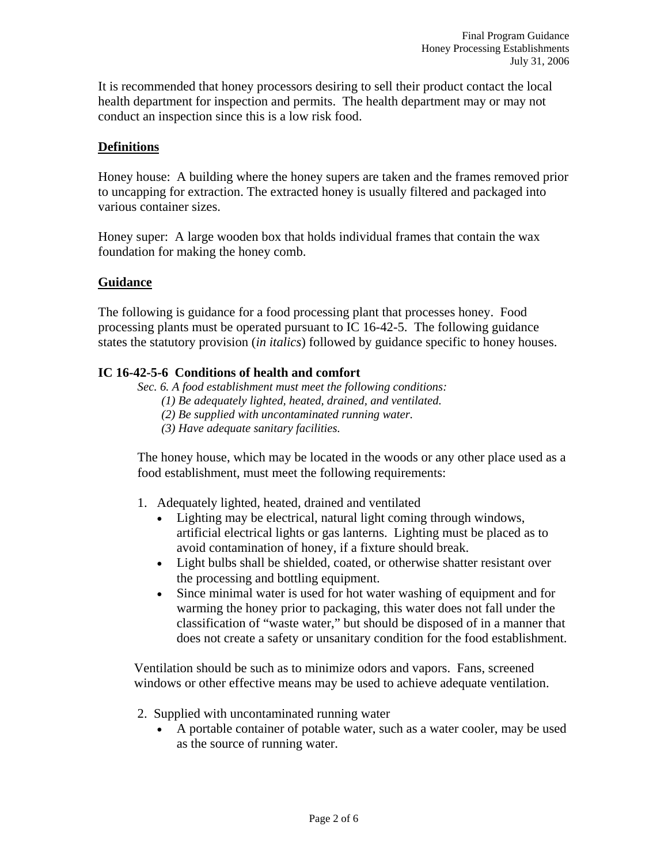It is recommended that honey processors desiring to sell their product contact the local health department for inspection and permits. The health department may or may not conduct an inspection since this is a low risk food.

## **Definitions**

Honey house: A building where the honey supers are taken and the frames removed prior to uncapping for extraction. The extracted honey is usually filtered and packaged into various container sizes.

Honey super: A large wooden box that holds individual frames that contain the wax foundation for making the honey comb.

### **Guidance**

The following is guidance for a food processing plant that processes honey. Food processing plants must be operated pursuant to IC 16-42-5. The following guidance states the statutory provision (*in italics*) followed by guidance specific to honey houses.

## **IC 16-42-5-6 Conditions of health and comfort**

- *Sec. 6. A food establishment must meet the following conditions:* 
	- *(1) Be adequately lighted, heated, drained, and ventilated.*
	- *(2) Be supplied with uncontaminated running water.*
	- *(3) Have adequate sanitary facilities.*

 The honey house, which may be located in the woods or any other place used as a food establishment, must meet the following requirements:

- 1. Adequately lighted, heated, drained and ventilated
	- Lighting may be electrical, natural light coming through windows, artificial electrical lights or gas lanterns. Lighting must be placed as to avoid contamination of honey, if a fixture should break.
	- Light bulbs shall be shielded, coated, or otherwise shatter resistant over the processing and bottling equipment.
	- Since minimal water is used for hot water washing of equipment and for warming the honey prior to packaging, this water does not fall under the classification of "waste water," but should be disposed of in a manner that does not create a safety or unsanitary condition for the food establishment.

Ventilation should be such as to minimize odors and vapors. Fans, screened windows or other effective means may be used to achieve adequate ventilation.

- 2. Supplied with uncontaminated running water
	- A portable container of potable water, such as a water cooler, may be used as the source of running water.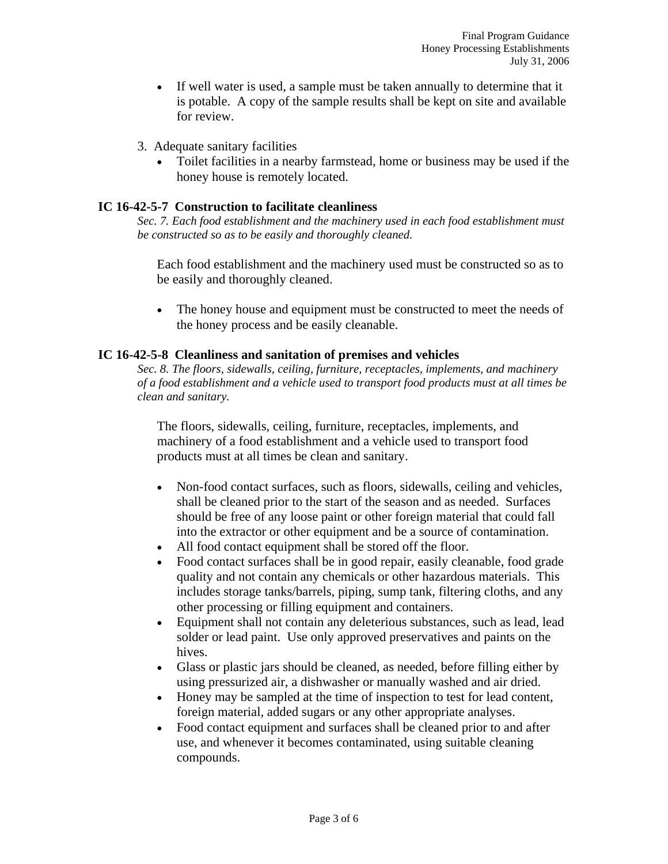- If well water is used, a sample must be taken annually to determine that it is potable. A copy of the sample results shall be kept on site and available for review.
- 3. Adequate sanitary facilities
	- Toilet facilities in a nearby farmstead, home or business may be used if the honey house is remotely located.

## **IC 16-42-5-7 Construction to facilitate cleanliness**

*Sec. 7. Each food establishment and the machinery used in each food establishment must be constructed so as to be easily and thoroughly cleaned.* 

 Each food establishment and the machinery used must be constructed so as to be easily and thoroughly cleaned.

• The honey house and equipment must be constructed to meet the needs of the honey process and be easily cleanable.

### **IC 16-42-5-8 Cleanliness and sanitation of premises and vehicles**

*Sec. 8. The floors, sidewalls, ceiling, furniture, receptacles, implements, and machinery of a food establishment and a vehicle used to transport food products must at all times be clean and sanitary.* 

 The floors, sidewalls, ceiling, furniture, receptacles, implements, and machinery of a food establishment and a vehicle used to transport food products must at all times be clean and sanitary.

- Non-food contact surfaces, such as floors, sidewalls, ceiling and vehicles, shall be cleaned prior to the start of the season and as needed. Surfaces should be free of any loose paint or other foreign material that could fall into the extractor or other equipment and be a source of contamination.
- All food contact equipment shall be stored off the floor.
- Food contact surfaces shall be in good repair, easily cleanable, food grade quality and not contain any chemicals or other hazardous materials. This includes storage tanks/barrels, piping, sump tank, filtering cloths, and any other processing or filling equipment and containers.
- Equipment shall not contain any deleterious substances, such as lead, lead solder or lead paint. Use only approved preservatives and paints on the hives.
- Glass or plastic jars should be cleaned, as needed, before filling either by using pressurized air, a dishwasher or manually washed and air dried.
- Honey may be sampled at the time of inspection to test for lead content, foreign material, added sugars or any other appropriate analyses.
- Food contact equipment and surfaces shall be cleaned prior to and after use, and whenever it becomes contaminated, using suitable cleaning compounds.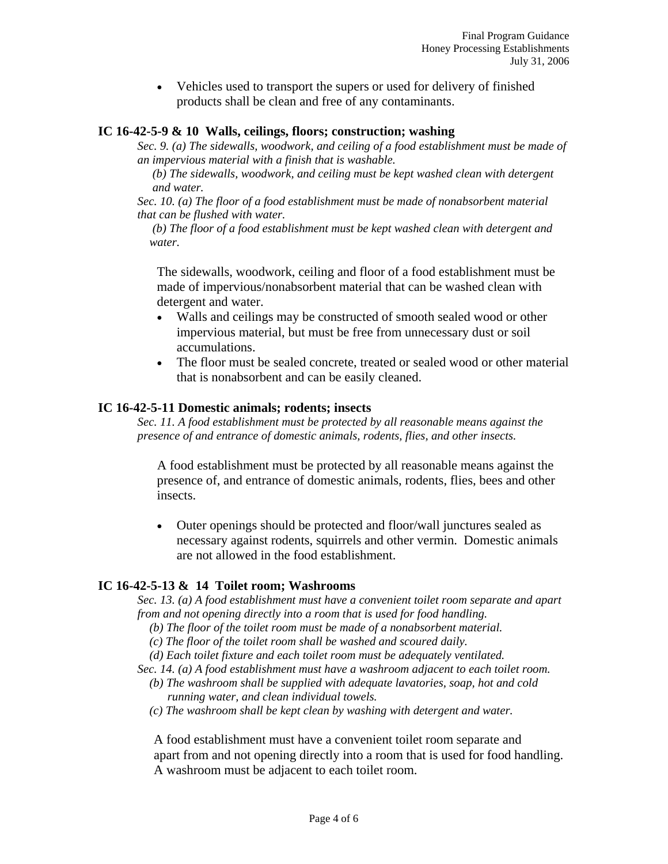• Vehicles used to transport the supers or used for delivery of finished products shall be clean and free of any contaminants.

#### **IC 16-42-5-9 & 10 Walls, ceilings, floors; construction; washing**

*Sec. 9. (a) The sidewalls, woodwork, and ceiling of a food establishment must be made of an impervious material with a finish that is washable.* 

 *(b) The sidewalls, woodwork, and ceiling must be kept washed clean with detergent and water.* 

*Sec. 10. (a) The floor of a food establishment must be made of nonabsorbent material that can be flushed with water.* 

 *(b) The floor of a food establishment must be kept washed clean with detergent and water.* 

 The sidewalls, woodwork, ceiling and floor of a food establishment must be made of impervious/nonabsorbent material that can be washed clean with detergent and water.

- Walls and ceilings may be constructed of smooth sealed wood or other impervious material, but must be free from unnecessary dust or soil accumulations.
- The floor must be sealed concrete, treated or sealed wood or other material that is nonabsorbent and can be easily cleaned.

#### **IC 16-42-5-11 Domestic animals; rodents; insects**

*Sec. 11. A food establishment must be protected by all reasonable means against the presence of and entrance of domestic animals, rodents, flies, and other insects.* 

 A food establishment must be protected by all reasonable means against the presence of, and entrance of domestic animals, rodents, flies, bees and other insects.

• Outer openings should be protected and floor/wall junctures sealed as necessary against rodents, squirrels and other vermin. Domestic animals are not allowed in the food establishment.

#### **IC 16-42-5-13 & 14 Toilet room; Washrooms**

*Sec. 13. (a) A food establishment must have a convenient toilet room separate and apart from and not opening directly into a room that is used for food handling.* 

 *(b) The floor of the toilet room must be made of a nonabsorbent material.* 

- *(c) The floor of the toilet room shall be washed and scoured daily.*
- *(d) Each toilet fixture and each toilet room must be adequately ventilated.*

*Sec. 14. (a) A food establishment must have a washroom adjacent to each toilet room.* 

- *(b) The washroom shall be supplied with adequate lavatories, soap, hot and cold running water, and clean individual towels.*
- *(c) The washroom shall be kept clean by washing with detergent and water.*

 A food establishment must have a convenient toilet room separate and apart from and not opening directly into a room that is used for food handling. A washroom must be adjacent to each toilet room.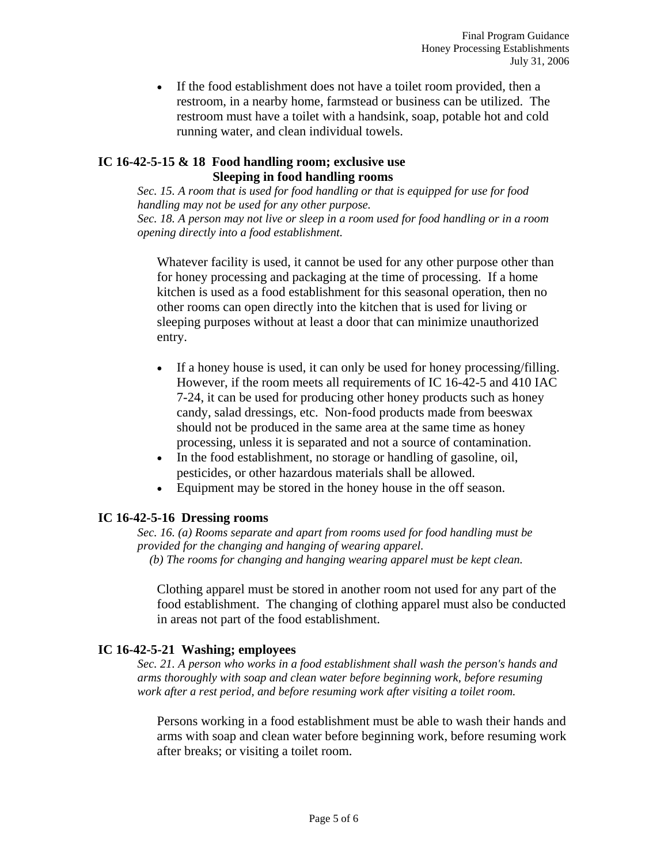• If the food establishment does not have a toilet room provided, then a restroom, in a nearby home, farmstead or business can be utilized. The restroom must have a toilet with a handsink, soap, potable hot and cold running water, and clean individual towels.

#### **IC 16-42-5-15 & 18 Food handling room; exclusive use Sleeping in food handling rooms**

*Sec. 15. A room that is used for food handling or that is equipped for use for food handling may not be used for any other purpose. Sec. 18. A person may not live or sleep in a room used for food handling or in a room opening directly into a food establishment.*

 Whatever facility is used, it cannot be used for any other purpose other than for honey processing and packaging at the time of processing. If a home kitchen is used as a food establishment for this seasonal operation, then no other rooms can open directly into the kitchen that is used for living or sleeping purposes without at least a door that can minimize unauthorized entry.

- If a honey house is used, it can only be used for honey processing/filling. However, if the room meets all requirements of IC 16-42-5 and 410 IAC 7-24, it can be used for producing other honey products such as honey candy, salad dressings, etc. Non-food products made from beeswax should not be produced in the same area at the same time as honey processing, unless it is separated and not a source of contamination.
- In the food establishment, no storage or handling of gasoline, oil, pesticides, or other hazardous materials shall be allowed.
- Equipment may be stored in the honey house in the off season.

### **IC 16-42-5-16 Dressing rooms**

*Sec. 16. (a) Rooms separate and apart from rooms used for food handling must be provided for the changing and hanging of wearing apparel. (b) The rooms for changing and hanging wearing apparel must be kept clean.* 

 Clothing apparel must be stored in another room not used for any part of the food establishment. The changing of clothing apparel must also be conducted in areas not part of the food establishment.

### **IC 16-42-5-21 Washing; employees**

*Sec. 21. A person who works in a food establishment shall wash the person's hands and arms thoroughly with soap and clean water before beginning work, before resuming work after a rest period, and before resuming work after visiting a toilet room.* 

 Persons working in a food establishment must be able to wash their hands and arms with soap and clean water before beginning work, before resuming work after breaks; or visiting a toilet room.